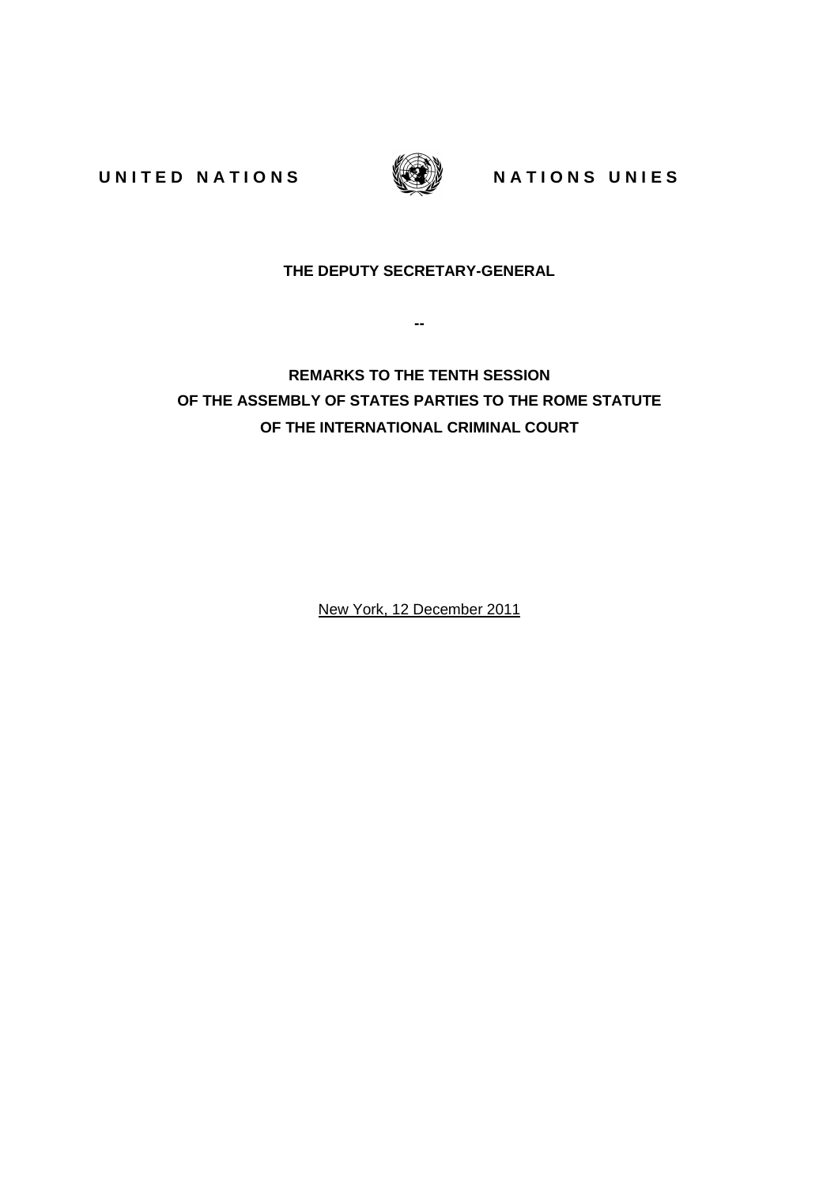UNITED NATIONS WARE NATIONS UNIES



## **THE DEPUTY SECRETARY-GENERAL**

**--** 

**REMARKS TO THE TENTH SESSION OF THE ASSEMBLY OF STATES PARTIES TO THE ROME STATUTE OF THE INTERNATIONAL CRIMINAL COURT** 

New York, 12 December 2011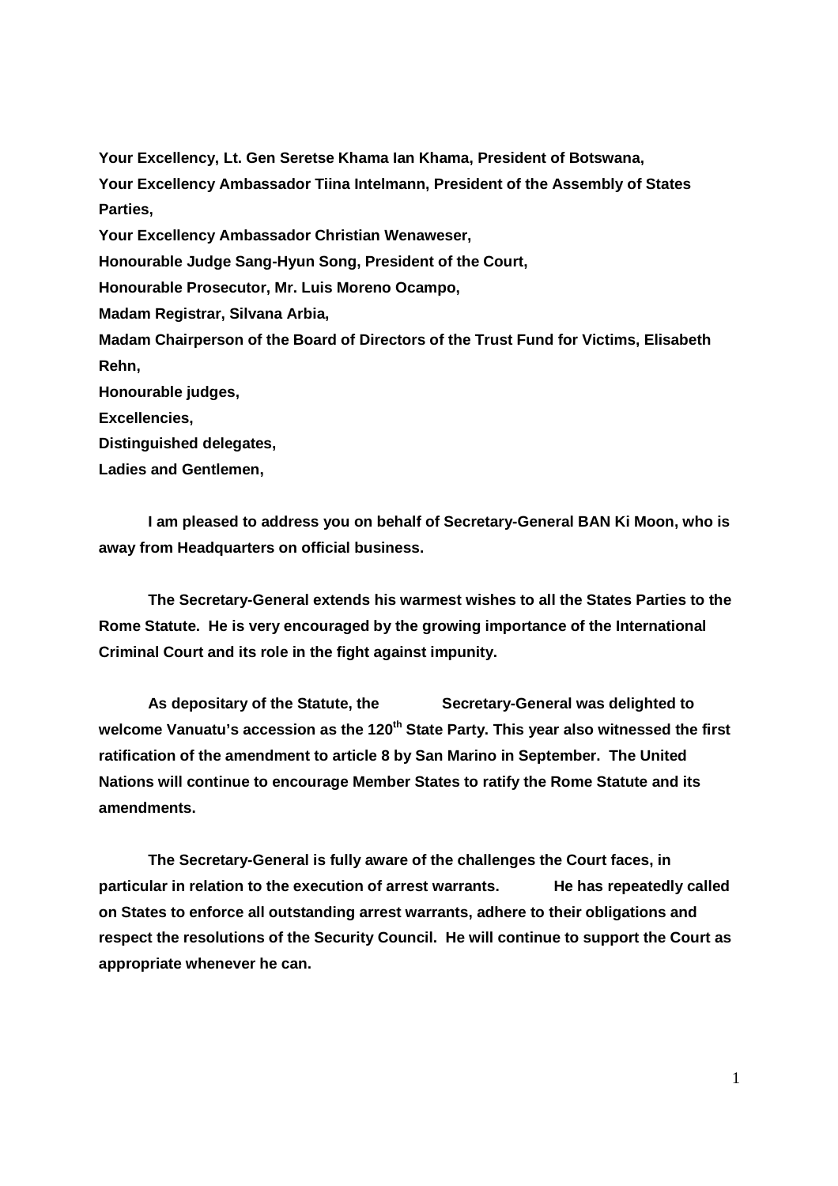**Your Excellency, Lt. Gen Seretse Khama Ian Khama, President of Botswana, Your Excellency Ambassador Tiina Intelmann, President of the Assembly of States Parties, Your Excellency Ambassador Christian Wenaweser, Honourable Judge Sang-Hyun Song, President of the Court, Honourable Prosecutor, Mr. Luis Moreno Ocampo, Madam Registrar, Silvana Arbia, Madam Chairperson of the Board of Directors of the Trust Fund for Victims, Elisabeth Rehn, Honourable judges, Excellencies, Distinguished delegates, Ladies and Gentlemen,** 

**I am pleased to address you on behalf of Secretary-General BAN Ki Moon, who is away from Headquarters on official business.** 

**The Secretary-General extends his warmest wishes to all the States Parties to the Rome Statute. He is very encouraged by the growing importance of the International Criminal Court and its role in the fight against impunity.** 

**As depositary of the Statute, the Secretary-General was delighted to**  welcome Vanuatu's accession as the 120<sup>th</sup> State Party. This year also witnessed the first **ratification of the amendment to article 8 by San Marino in September. The United Nations will continue to encourage Member States to ratify the Rome Statute and its amendments.** 

**The Secretary-General is fully aware of the challenges the Court faces, in particular in relation to the execution of arrest warrants. He has repeatedly called on States to enforce all outstanding arrest warrants, adhere to their obligations and respect the resolutions of the Security Council. He will continue to support the Court as appropriate whenever he can.**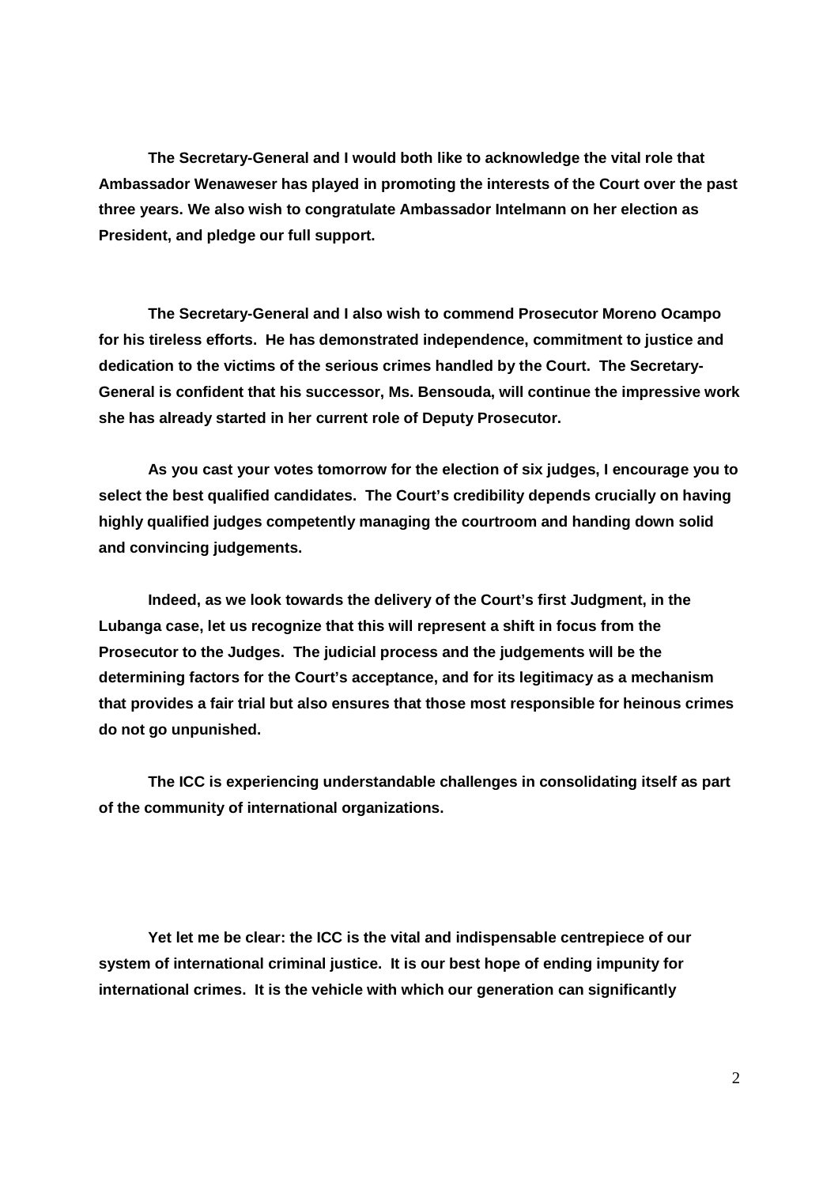**The Secretary-General and I would both like to acknowledge the vital role that Ambassador Wenaweser has played in promoting the interests of the Court over the past three years. We also wish to congratulate Ambassador Intelmann on her election as President, and pledge our full support.** 

**The Secretary-General and I also wish to commend Prosecutor Moreno Ocampo for his tireless efforts. He has demonstrated independence, commitment to justice and dedication to the victims of the serious crimes handled by the Court. The Secretary-General is confident that his successor, Ms. Bensouda, will continue the impressive work she has already started in her current role of Deputy Prosecutor.** 

**As you cast your votes tomorrow for the election of six judges, I encourage you to select the best qualified candidates. The Court's credibility depends crucially on having highly qualified judges competently managing the courtroom and handing down solid and convincing judgements.** 

**Indeed, as we look towards the delivery of the Court's first Judgment, in the Lubanga case, let us recognize that this will represent a shift in focus from the Prosecutor to the Judges. The judicial process and the judgements will be the determining factors for the Court's acceptance, and for its legitimacy as a mechanism that provides a fair trial but also ensures that those most responsible for heinous crimes do not go unpunished.** 

**The ICC is experiencing understandable challenges in consolidating itself as part of the community of international organizations.** 

**Yet let me be clear: the ICC is the vital and indispensable centrepiece of our system of international criminal justice. It is our best hope of ending impunity for international crimes. It is the vehicle with which our generation can significantly**